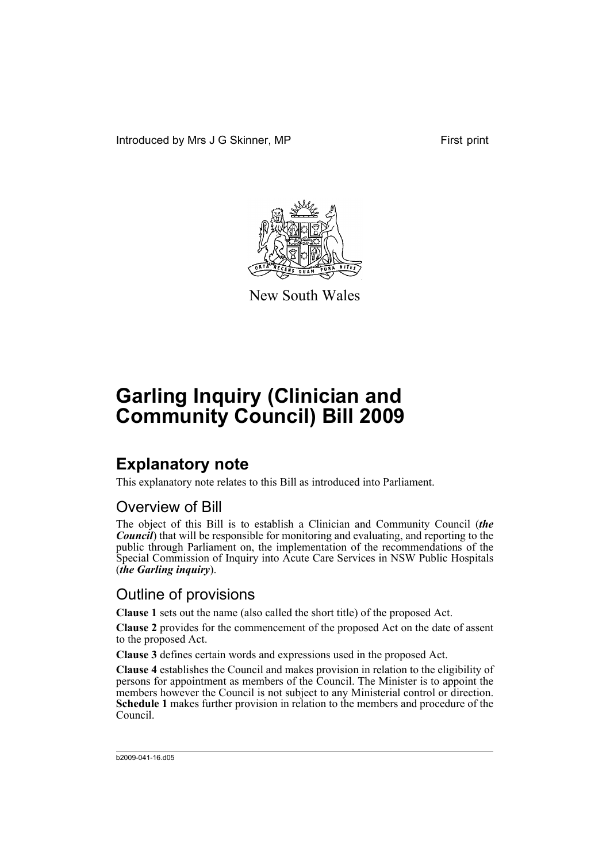Introduced by Mrs J G Skinner, MP First print



New South Wales

# **Garling Inquiry (Clinician and Community Council) Bill 2009**

## **Explanatory note**

This explanatory note relates to this Bill as introduced into Parliament.

## Overview of Bill

The object of this Bill is to establish a Clinician and Community Council (*the Council*) that will be responsible for monitoring and evaluating, and reporting to the public through Parliament on, the implementation of the recommendations of the Special Commission of Inquiry into Acute Care Services in NSW Public Hospitals (*the Garling inquiry*).

## Outline of provisions

**Clause 1** sets out the name (also called the short title) of the proposed Act.

**Clause 2** provides for the commencement of the proposed Act on the date of assent to the proposed Act.

**Clause 3** defines certain words and expressions used in the proposed Act.

**Clause 4** establishes the Council and makes provision in relation to the eligibility of persons for appointment as members of the Council. The Minister is to appoint the members however the Council is not subject to any Ministerial control or direction. **Schedule 1** makes further provision in relation to the members and procedure of the Council.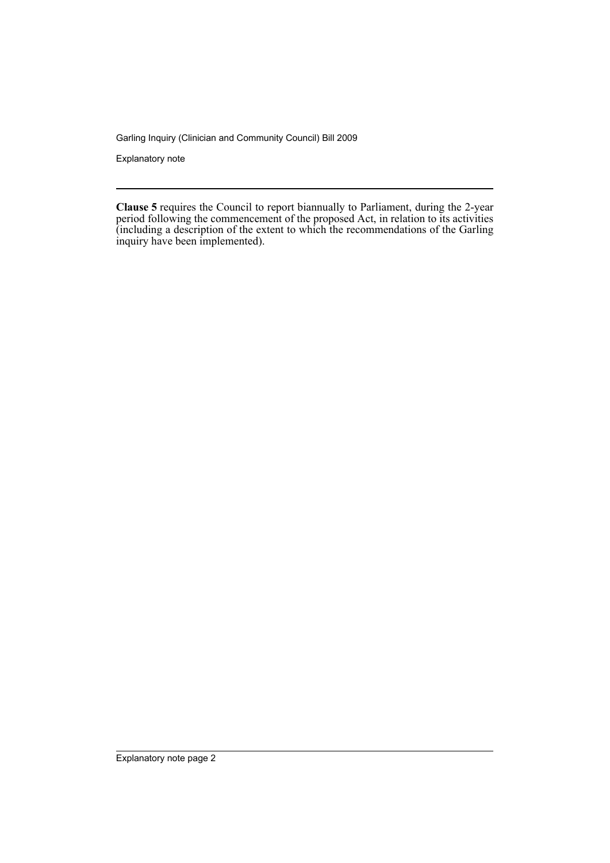Garling Inquiry (Clinician and Community Council) Bill 2009

Explanatory note

**Clause 5** requires the Council to report biannually to Parliament, during the 2-year period following the commencement of the proposed Act, in relation to its activities (including a description of the extent to which the recommendations of the Garling inquiry have been implemented).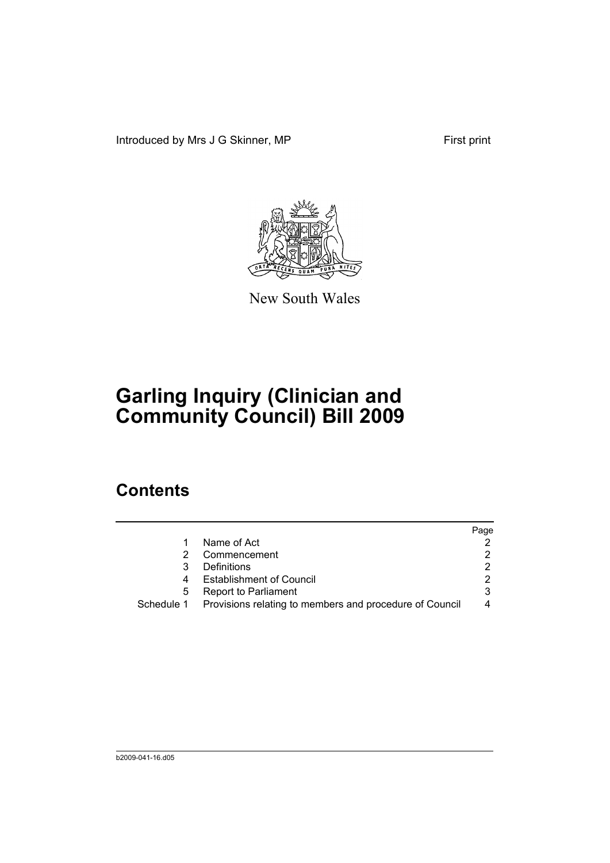Introduced by Mrs J G Skinner, MP First print



New South Wales

# **Garling Inquiry (Clinician and Community Council) Bill 2009**

## **Contents**

|   |                                                                    | Page |
|---|--------------------------------------------------------------------|------|
|   | Name of Act                                                        |      |
|   | Commencement                                                       |      |
|   | Definitions                                                        |      |
|   | <b>Establishment of Council</b>                                    |      |
| 5 | <b>Report to Parliament</b>                                        | 3    |
|   | Schedule 1 Provisions relating to members and procedure of Council |      |
|   |                                                                    |      |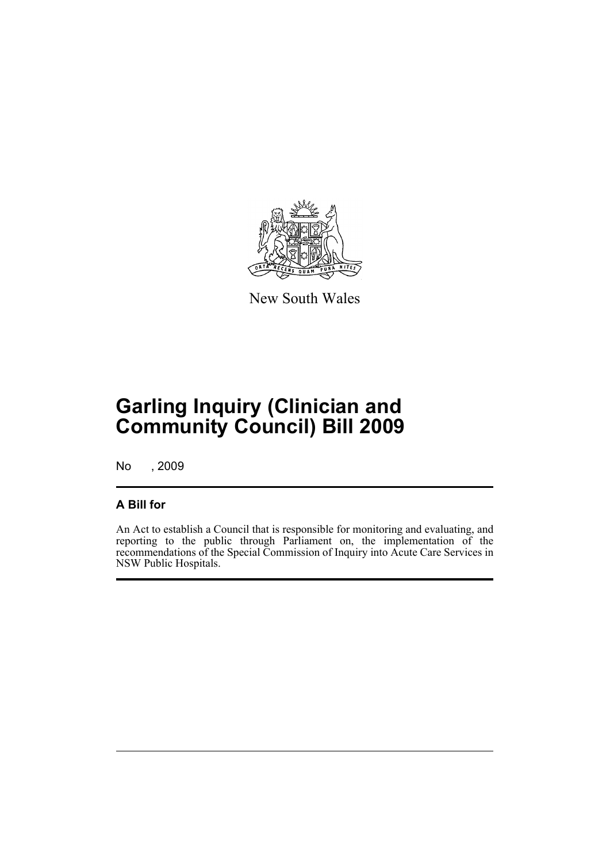

New South Wales

## **Garling Inquiry (Clinician and Community Council) Bill 2009**

No , 2009

#### **A Bill for**

An Act to establish a Council that is responsible for monitoring and evaluating, and reporting to the public through Parliament on, the implementation of the recommendations of the Special Commission of Inquiry into Acute Care Services in NSW Public Hospitals.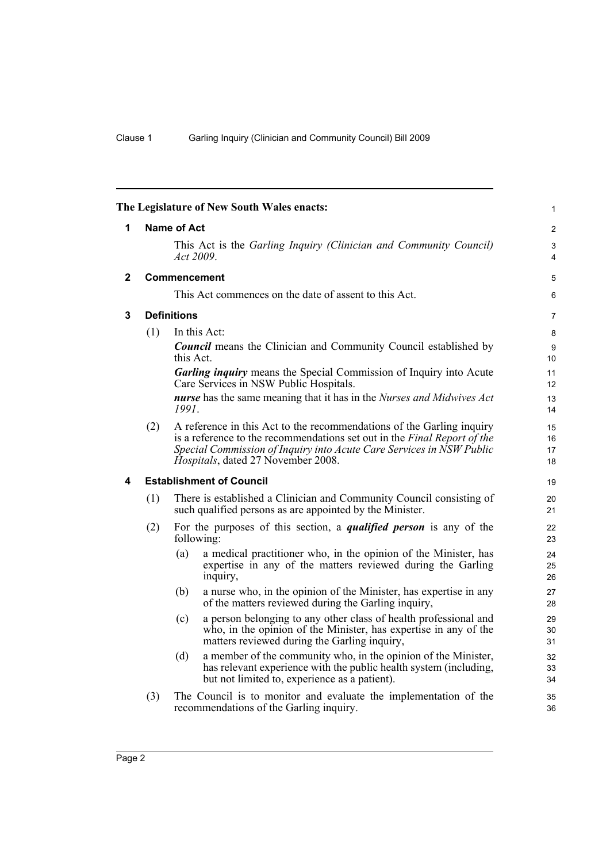<span id="page-5-3"></span><span id="page-5-2"></span><span id="page-5-1"></span><span id="page-5-0"></span>

| The Legislature of New South Wales enacts: |                    |                                                                                                                                                                                                                                                                 | 1                    |
|--------------------------------------------|--------------------|-----------------------------------------------------------------------------------------------------------------------------------------------------------------------------------------------------------------------------------------------------------------|----------------------|
| 1                                          | <b>Name of Act</b> |                                                                                                                                                                                                                                                                 |                      |
|                                            |                    | This Act is the Garling Inquiry (Clinician and Community Council)<br>Act 2009.                                                                                                                                                                                  | 3<br>$\overline{4}$  |
| 2                                          |                    | <b>Commencement</b>                                                                                                                                                                                                                                             | 5                    |
|                                            |                    | This Act commences on the date of assent to this Act.                                                                                                                                                                                                           | 6                    |
| 3                                          |                    | <b>Definitions</b>                                                                                                                                                                                                                                              | $\overline{7}$       |
|                                            | (1)                | In this Act:                                                                                                                                                                                                                                                    | 8                    |
|                                            |                    | <b>Council</b> means the Clinician and Community Council established by<br>this Act.                                                                                                                                                                            | 9<br>10              |
|                                            |                    | <b>Garling inquiry</b> means the Special Commission of Inquiry into Acute<br>Care Services in NSW Public Hospitals.                                                                                                                                             | 11<br>12             |
|                                            |                    | nurse has the same meaning that it has in the Nurses and Midwives Act<br>1991.                                                                                                                                                                                  | 13<br>14             |
|                                            | (2)                | A reference in this Act to the recommendations of the Garling inquiry<br>is a reference to the recommendations set out in the Final Report of the<br>Special Commission of Inquiry into Acute Care Services in NSW Public<br>Hospitals, dated 27 November 2008. | 15<br>16<br>17<br>18 |
| 4                                          |                    | <b>Establishment of Council</b>                                                                                                                                                                                                                                 |                      |
|                                            | (1)                | There is established a Clinician and Community Council consisting of<br>such qualified persons as are appointed by the Minister.                                                                                                                                | 20<br>21             |
|                                            | (2)                | For the purposes of this section, a <i>qualified person</i> is any of the<br>following:                                                                                                                                                                         | 22<br>23             |
|                                            |                    | a medical practitioner who, in the opinion of the Minister, has<br>(a)<br>expertise in any of the matters reviewed during the Garling<br>inquiry,                                                                                                               | 24<br>25<br>26       |
|                                            |                    | a nurse who, in the opinion of the Minister, has expertise in any<br>(b)<br>of the matters reviewed during the Garling inquiry,                                                                                                                                 | 27<br>28             |
|                                            |                    | a person belonging to any other class of health professional and<br>(c)<br>who, in the opinion of the Minister, has expertise in any of the<br>matters reviewed during the Garling inquiry,                                                                     | 29<br>30<br>31       |
|                                            |                    | (d)<br>a member of the community who, in the opinion of the Minister,<br>has relevant experience with the public health system (including,<br>but not limited to, experience as a patient).                                                                     | 32<br>33<br>34       |
|                                            | (3)                | The Council is to monitor and evaluate the implementation of the<br>recommendations of the Garling inquiry.                                                                                                                                                     | 35<br>36             |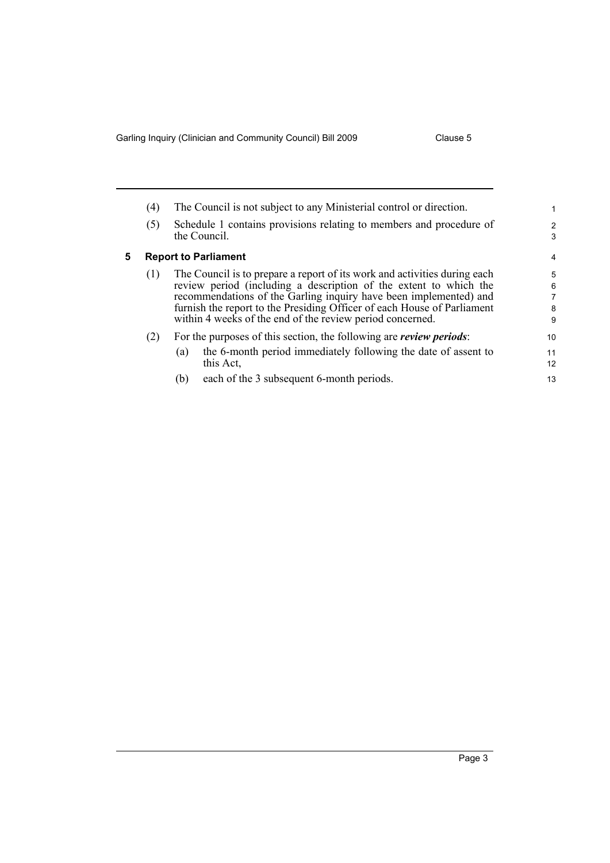Garling Inquiry (Clinician and Community Council) Bill 2009 Clause 5

<span id="page-6-0"></span>

|   | (4)                         | The Council is not subject to any Ministerial control or direction.                 |                     |
|---|-----------------------------|-------------------------------------------------------------------------------------|---------------------|
|   | (5)                         | Schedule 1 contains provisions relating to members and procedure of<br>the Council. | $\overline{2}$<br>3 |
| 5 | <b>Report to Parliament</b> |                                                                                     |                     |
|   | (1)                         | The Council is to prepare a report of its work and activities during each           | 5                   |
|   |                             | review period (including a description of the extent to which the                   | 6                   |
|   |                             | recommendations of the Garling inquiry have been implemented) and                   | 7                   |
|   |                             | furnish the report to the Presiding Officer of each House of Parliament             | 8                   |
|   |                             | within 4 weeks of the end of the review period concerned.                           | 9                   |
|   | (2)                         | For the purposes of this section, the following are <i>review periods</i> :         | 10                  |
|   |                             | the 6-month period immediately following the date of assent to<br>(a)               | 11                  |
|   |                             | this Act.                                                                           | 12                  |
|   |                             | each of the 3 subsequent 6-month periods.<br>(b)                                    | 13                  |

(b) each of the 3 subsequent 6-month periods.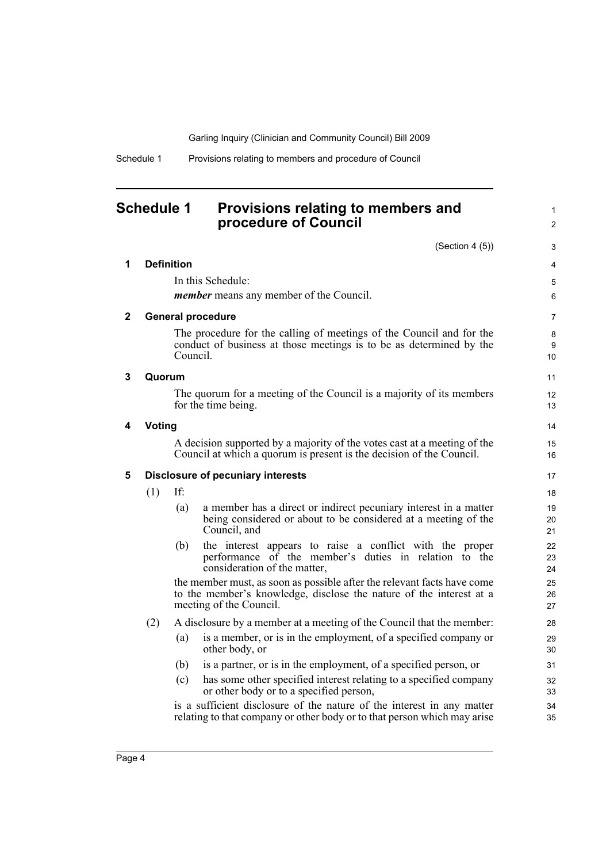Garling Inquiry (Clinician and Community Council) Bill 2009

Schedule 1 Provisions relating to members and procedure of Council

### <span id="page-7-0"></span>**Schedule 1 Provisions relating to members and procedure of Council**

 $(Solution 4 (5))$ 

1 2

|              |                                          |                   | (Section 4(5))                                                                                                                                                            | 3              |
|--------------|------------------------------------------|-------------------|---------------------------------------------------------------------------------------------------------------------------------------------------------------------------|----------------|
| 1            |                                          | <b>Definition</b> |                                                                                                                                                                           | 4              |
|              |                                          |                   | In this Schedule:                                                                                                                                                         | 5              |
|              |                                          |                   | <i>member</i> means any member of the Council.                                                                                                                            | 6              |
| $\mathbf{2}$ |                                          |                   | <b>General procedure</b>                                                                                                                                                  | $\overline{7}$ |
|              |                                          | Council.          | The procedure for the calling of meetings of the Council and for the<br>conduct of business at those meetings is to be as determined by the                               | 8<br>9<br>10   |
| 3            | Quorum                                   |                   |                                                                                                                                                                           | 11             |
|              |                                          |                   | The quorum for a meeting of the Council is a majority of its members<br>for the time being.                                                                               | 12<br>13       |
| 4            | <b>Voting</b>                            |                   |                                                                                                                                                                           | 14             |
|              |                                          |                   | A decision supported by a majority of the votes cast at a meeting of the<br>Council at which a quorum is present is the decision of the Council.                          | 15<br>16       |
| 5            | <b>Disclosure of pecuniary interests</b> |                   | 17                                                                                                                                                                        |                |
|              | (1)                                      | If:               |                                                                                                                                                                           | 18             |
|              |                                          | (a)               | a member has a direct or indirect pecuniary interest in a matter<br>being considered or about to be considered at a meeting of the<br>Council, and                        | 19<br>20<br>21 |
|              |                                          | (b)               | the interest appears to raise a conflict with the proper<br>performance of the member's duties in relation to the<br>consideration of the matter,                         | 22<br>23<br>24 |
|              |                                          |                   | the member must, as soon as possible after the relevant facts have come<br>to the member's knowledge, disclose the nature of the interest at a<br>meeting of the Council. | 25<br>26<br>27 |
|              | (2)                                      |                   | A disclosure by a member at a meeting of the Council that the member:                                                                                                     | 28             |
|              |                                          | (a)               | is a member, or is in the employment, of a specified company or<br>other body, or                                                                                         | 29<br>30       |
|              |                                          | (b)               | is a partner, or is in the employment, of a specified person, or                                                                                                          | 31             |
|              |                                          | (c)               | has some other specified interest relating to a specified company<br>or other body or to a specified person,                                                              | 32<br>33       |
|              |                                          |                   | is a sufficient disclosure of the nature of the interest in any matter<br>relating to that company or other body or to that person which may arise                        | 34<br>35       |